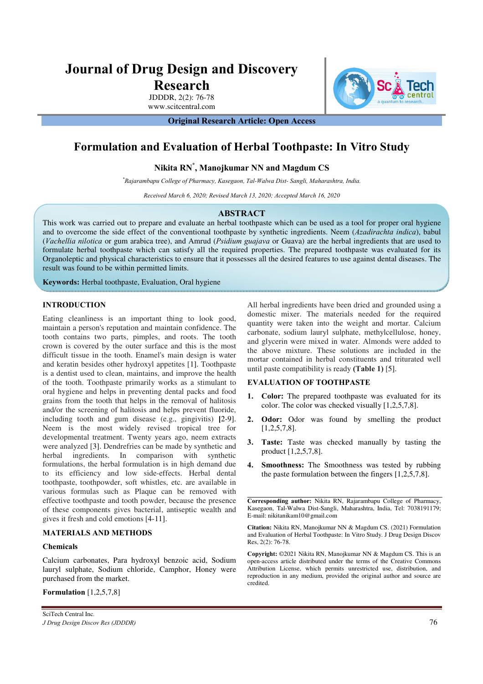# **Journal of Drug Design and Discovery**

**Research** 

JDDDR, 2(2): 76-78 www.scitcentral.com

**Original Research Article: Open Access** 

## **Formulation and Evaluation of Herbal Toothpaste: In Vitro Study**

**Nikita RN\* , Manojkumar NN and Magdum CS** 

*\*Rajarambapu College of Pharmacy, Kasegaon, Tal-Walwa Dist- Sangli, Maharashtra, India.* 

*Received March 6, 2020; Revised March 13, 2020; Accepted March 16, 2020* 

### **ABSTRACT**

This work was carried out to prepare and evaluate an herbal toothpaste which can be used as a tool for proper oral hygiene and to overcome the side effect of the conventional toothpaste by synthetic ingredients. Neem (*Azadirachta indica*), babul (*Vachellia nilotica* or gum arabica tree), and Amrud (*Psidium guajava* or Guava) are the herbal ingredients that are used to formulate herbal toothpaste which can satisfy all the required properties. The prepared toothpaste was evaluated for its Organoleptic and physical characteristics to ensure that it possesses all the desired features to use against dental diseases. The result was found to be within permitted limits.

**Keywords:** Herbal toothpaste, Evaluation, Oral hygiene

### **INTRODUCTION**

Eating cleanliness is an important thing to look good, maintain a person's reputation and maintain confidence. The tooth contains two parts, pimples, and roots. The tooth crown is covered by the outer surface and this is the most difficult tissue in the tooth. Enamel's main design is water and keratin besides other hydroxyl appetites [1]. Toothpaste is a dentist used to clean, maintains, and improve the health of the tooth. Toothpaste primarily works as a stimulant to oral hygiene and helps in preventing dental packs and food grains from the tooth that helps in the removal of halitosis and/or the screening of halitosis and helps prevent fluoride, including tooth and gum disease (e.g., gingivitis) **[**2-9]. Neem is the most widely revised tropical tree for developmental treatment. Twenty years ago, neem extracts were analyzed [3]. Dendrefries can be made by synthetic and herbal ingredients. In comparison with synthetic formulations, the herbal formulation is in high demand due to its efficiency and low side-effects. Herbal dental toothpaste, toothpowder, soft whistles, etc. are available in various formulas such as Plaque can be removed with effective toothpaste and tooth powder, because the presence of these components gives bacterial, antiseptic wealth and gives it fresh and cold emotions [4-11].

### **MATERIALS AND METHODS**

### **Chemicals**

Calcium carbonates, Para hydroxyl benzoic acid, Sodium lauryl sulphate, Sodium chloride, Camphor, Honey were purchased from the market.

**Formulation** [1,2,5,7,8]

All herbal ingredients have been dried and grounded using a domestic mixer. The materials needed for the required quantity were taken into the weight and mortar. Calcium carbonate, sodium lauryl sulphate, methylcellulose, honey, and glycerin were mixed in water. Almonds were added to the above mixture. These solutions are included in the mortar contained in herbal constituents and triturated well until paste compatibility is ready **(Table 1)** [5].

### **EVALUATION OF TOOTHPASTE**

- **1. Color:** The prepared toothpaste was evaluated for its color. The color was checked visually [1,2,5,7,8].
- **2. Odor:** Odor was found by smelling the product [1,2,5,7,8].
- **3. Taste:** Taste was checked manually by tasting the product [1,2,5,7,8].
- **4. Smoothness:** The Smoothness was tested by rubbing the paste formulation between the fingers [1,2,5,7,8].

**Corresponding author:** Nikita RN, Rajarambapu College of Pharmacy, Kasegaon, Tal-Walwa Dist-Sangli, Maharashtra, India, Tel: 7038191179; E-mail: nikitanikam10@gmail.com

**Citation:** Nikita RN, Manojkumar NN & Magdum CS. (2021) Formulation and Evaluation of Herbal Toothpaste: In Vitro Study. J Drug Design Discov Res, 2(2): 76-78.

**Copyright:** ©2021 Nikita RN, Manojkumar NN & Magdum CS. This is an open-access article distributed under the terms of the Creative Commons Attribution License, which permits unrestricted use, distribution, and reproduction in any medium, provided the original author and source are credited.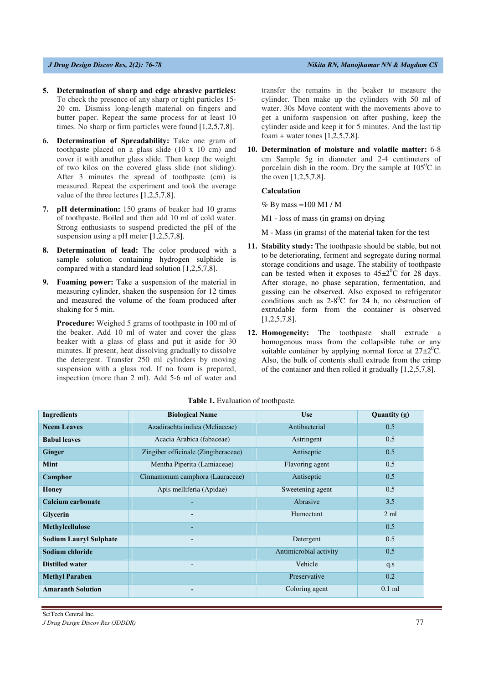- **5. Determination of sharp and edge abrasive particles:** To check the presence of any sharp or tight particles 15- 20 cm. Dismiss long-length material on fingers and butter paper. Repeat the same process for at least 10 times. No sharp or firm particles were found [1,2,5,7,8].
- **6. Determination of Spreadability:** Take one gram of toothpaste placed on a glass slide (10 x 10 cm) and cover it with another glass slide. Then keep the weight of two kilos on the covered glass slide (not sliding). After 3 minutes the spread of toothpaste (cm) is measured. Repeat the experiment and took the average value of the three lectures [1,2,5,7,8].
- **7. pH determination:** 150 grams of beaker had 10 grams of toothpaste. Boiled and then add 10 ml of cold water. Strong enthusiasts to suspend predicted the pH of the suspension using a pH meter [1,2,5,7,8].
- **8. Determination of lead:** The color produced with a sample solution containing hydrogen sulphide is compared with a standard lead solution [1,2,5,7,8].
- **9. Foaming power:** Take a suspension of the material in measuring cylinder, shaken the suspension for 12 times and measured the volume of the foam produced after shaking for 5 min.

**Procedure:** Weighed 5 grams of toothpaste in 100 ml of the beaker. Add 10 ml of water and cover the glass beaker with a glass of glass and put it aside for 30 minutes. If present, heat dissolving gradually to dissolve the detergent. Transfer 250 ml cylinders by moving suspension with a glass rod. If no foam is prepared, inspection (more than 2 ml). Add 5-6 ml of water and transfer the remains in the beaker to measure the cylinder. Then make up the cylinders with 50 ml of water. 30s Move content with the movements above to get a uniform suspension on after pushing, keep the cylinder aside and keep it for 5 minutes. And the last tip foam + water tones  $[1,2,5,7,8]$ .

**10. Determination of moisture and volatile matter:** 6-8 cm Sample 5g in diameter and 2-4 centimeters of porcelain dish in the room. Dry the sample at  $105^{\circ}$ C in the oven [1,2,5,7,8].

### **Calculation**

 $%$  By mass =100 M1 / M

- M1 loss of mass (in grams) on drying
- M Mass (in grams) of the material taken for the test
- **11. Stability study:** The toothpaste should be stable, but not to be deteriorating, ferment and segregate during normal storage conditions and usage. The stability of toothpaste can be tested when it exposes to  $45\pm2\degree$ C for 28 days. After storage, no phase separation, fermentation, and gassing can be observed. Also exposed to refrigerator conditions such as  $2-8^0C$  for 24 h, no obstruction of extrudable form from the container is observed [1,2,5,7,8].
- **12. Homogeneity:** The toothpaste shall extrude a homogenous mass from the collapsible tube or any suitable container by applying normal force at  $27\pm2\degree C$ . Also, the bulk of contents shall extrude from the crimp of the container and then rolled it gradually [1,2,5,7,8].

| <b>Ingredients</b>            | <b>Biological Name</b>              | <b>Use</b>             | Quantity (g)   |
|-------------------------------|-------------------------------------|------------------------|----------------|
| <b>Neem Leaves</b>            | Azadirachta indica (Meliaceae)      | Antibacterial          | 0.5            |
| <b>Babul leaves</b>           | Acacia Arabica (fabaceae)           | Astringent             | 0.5            |
| <b>Ginger</b>                 | Zingiber officinale (Zingiberaceae) | Antiseptic             | 0.5            |
| <b>Mint</b>                   | Mentha Piperita (Lamiaceae)         | Flavoring agent        | 0.5            |
| Camphor                       | Cinnamonum camphora (Lauraceae)     | Antiseptic             | 0.5            |
| <b>Honey</b>                  | Apis melliferia (Apidae)            | Sweetening agent       | 0.5            |
| Calcium carbonate             |                                     | Abrasive               | 3.5            |
| <b>Glycerin</b>               |                                     | Humectant              | $2 \text{ ml}$ |
| <b>Methylcellulose</b>        |                                     |                        | 0.5            |
| <b>Sodium Lauryl Sulphate</b> |                                     | Detergent              | 0.5            |
| Sodium chloride               |                                     | Antimicrobial activity | 0.5            |
| <b>Distilled water</b>        |                                     | Vehicle                | q.s            |
| <b>Methyl Paraben</b>         |                                     | Preservative           | 0.2            |
| <b>Amaranth Solution</b>      |                                     | Coloring agent         | $0.1$ ml       |

### **Table 1.** Evaluation of toothpaste.

SciTech Central Inc*. J Drug Design Discov Res (JDDDR)* 77